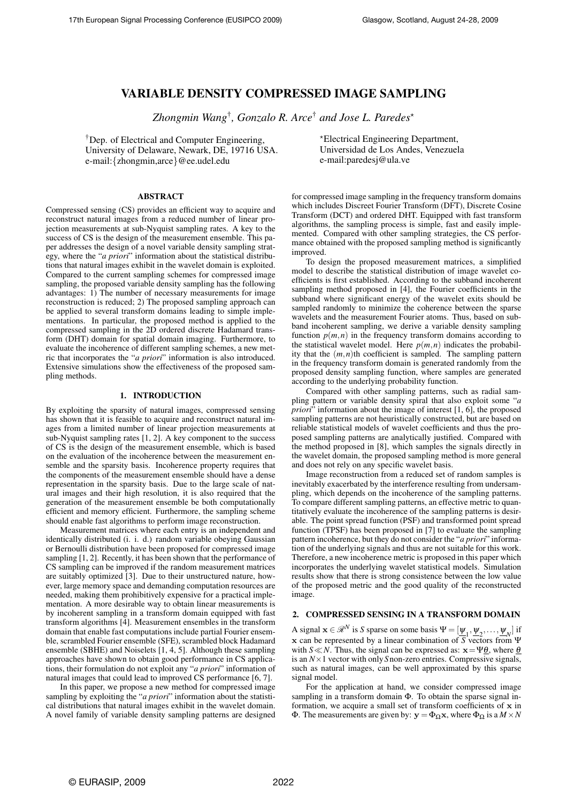# VARIABLE DENSITY COMPRESSED IMAGE SAMPLING

*Zhongmin Wang*† *, Gonzalo R. Arce*† *and Jose L. Paredes*?

†Dep. of Electrical and Computer Engineering, University of Delaware, Newark, DE, 19716 USA. e-mail:{zhongmin,arce}@ee.udel.edu

# ABSTRACT

Compressed sensing (CS) provides an efficient way to acquire and reconstruct natural images from a reduced number of linear projection measurements at sub-Nyquist sampling rates. A key to the success of CS is the design of the measurement ensemble. This paper addresses the design of a novel variable density sampling strategy, where the "*a priori*" information about the statistical distributions that natural images exhibit in the wavelet domain is exploited. Compared to the current sampling schemes for compressed image sampling, the proposed variable density sampling has the following advantages: 1) The number of necessary measurements for image reconstruction is reduced; 2) The proposed sampling approach can be applied to several transform domains leading to simple implementations. In particular, the proposed method is applied to the compressed sampling in the 2D ordered discrete Hadamard transform (DHT) domain for spatial domain imaging. Furthermore, to evaluate the incoherence of different sampling schemes, a new metric that incorporates the "*a priori*" information is also introduced. Extensive simulations show the effectiveness of the proposed sampling methods.

# 1. INTRODUCTION

By exploiting the sparsity of natural images, compressed sensing has shown that it is feasible to acquire and reconstruct natural images from a limited number of linear projection measurements at sub-Nyquist sampling rates [1, 2]. A key component to the success of CS is the design of the measurement ensemble, which is based on the evaluation of the incoherence between the measurement ensemble and the sparsity basis. Incoherence property requires that the components of the measurement ensemble should have a dense representation in the sparsity basis. Due to the large scale of natural images and their high resolution, it is also required that the generation of the measurement ensemble be both computationally efficient and memory efficient. Furthermore, the sampling scheme should enable fast algorithms to perform image reconstruction.

Measurement matrices where each entry is an independent and identically distributed (i. i. d.) random variable obeying Gaussian or Bernoulli distribution have been proposed for compressed image sampling [1, 2]. Recently, it has been shown that the performance of CS sampling can be improved if the random measurement matrices are suitably optimized [3]. Due to their unstructured nature, however, large memory space and demanding computation resources are needed, making them prohibitively expensive for a practical implementation. A more desirable way to obtain linear measurements is by incoherent sampling in a transform domain equipped with fast transform algorithms [4]. Measurement ensembles in the transform domain that enable fast computations include partial Fourier ensemble, scrambled Fourier ensemble (SFE), scrambled block Hadamard ensemble (SBHE) and Noiselets [1, 4, 5]. Although these sampling approaches have shown to obtain good performance in CS applications, their formulation do not exploit any "*a priori*" information of natural images that could lead to improved CS performance [6, 7].

In this paper, we propose a new method for compressed image sampling by exploiting the "*a priori*" information about the statistical distributions that natural images exhibit in the wavelet domain. A novel family of variable density sampling patterns are designed ?Electrical Engineering Department, Universidad de Los Andes, Venezuela e-mail:paredesj@ula.ve

for compressed image sampling in the frequency transform domains which includes Discreet Fourier Transform (DFT), Discrete Cosine Transform (DCT) and ordered DHT. Equipped with fast transform algorithms, the sampling process is simple, fast and easily implemented. Compared with other sampling strategies, the CS performance obtained with the proposed sampling method is significantly improved.

To design the proposed measurement matrices, a simplified model to describe the statistical distribution of image wavelet coefficients is first established. According to the subband incoherent sampling method proposed in [4], the Fourier coefficients in the subband where significant energy of the wavelet exits should be sampled randomly to minimize the coherence between the sparse wavelets and the measurement Fourier atoms. Thus, based on subband incoherent sampling, we derive a variable density sampling function  $p(m,n)$  in the frequency transform domains according to the statistical wavelet model. Here  $p(m, n)$  indicates the probability that the  $(m, n)$ th coefficient is sampled. The sampling pattern in the frequency transform domain is generated randomly from the proposed density sampling function, where samples are generated according to the underlying probability function.

Compared with other sampling patterns, such as radial sampling pattern or variable density spiral that also exploit some "*a priori*" information about the image of interest [1, 6], the proposed sampling patterns are not heuristically constructed, but are based on reliable statistical models of wavelet coefficients and thus the proposed sampling patterns are analytically justified. Compared with the method proposed in [8], which samples the signals directly in the wavelet domain, the proposed sampling method is more general and does not rely on any specific wavelet basis.

Image reconstruction from a reduced set of random samples is inevitably exacerbated by the interference resulting from undersampling, which depends on the incoherence of the sampling patterns. To compare different sampling patterns, an effective metric to quantitatively evaluate the incoherence of the sampling patterns is desirable. The point spread function (PSF) and transformed point spread function (TPSF) has been proposed in [7] to evaluate the sampling pattern incoherence, but they do not consider the "*a priori*" information of the underlying signals and thus are not suitable for this work. Therefore, a new incoherence metric is proposed in this paper which incorporates the underlying wavelet statistical models. Simulation results show that there is strong consistence between the low value of the proposed metric and the good quality of the reconstructed image.

# 2. COMPRESSED SENSING IN A TRANSFORM DOMAIN

A signal  $\mathbf{x} \in \mathcal{R}^N$  is *S* sparse on some basis  $\Psi = [\underline{\psi}_1, \underline{\psi}_2, \dots, \underline{\psi}_N]$  if x can be represented by a linear combination of *S* vectors from Ψ with *S* $\ll N$ . Thus, the signal can be expressed as:  $\mathbf{x} = \Psi \theta$ , where  $\theta$ is an *N*×1 vector with only*S*non-zero entries. Compressive signals, such as natural images, can be well approximated by this sparse signal model.

For the application at hand, we consider compressed image sampling in a transform domain Φ. To obtain the sparse signal information, we acquire a small set of transform coefficients of x in Φ. The measurements are given by:  $y = \Phi_Ωx$ , where  $\Phi_Ω$  is a  $M \times N$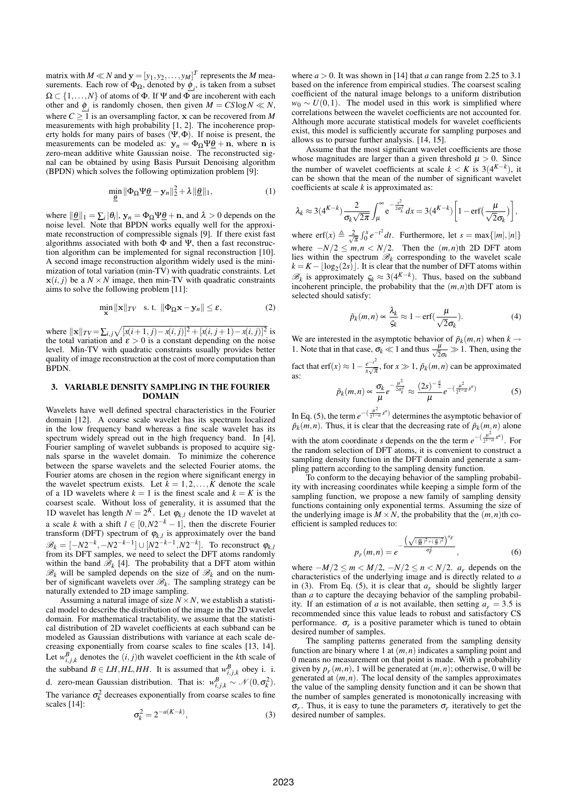matrix with  $M \ll N$  and  $\mathbf{y} = [y_1, y_2, \dots, y_M]^T$  represents the  $M$  measurements. Each row of  $\Phi_{\Omega}$ , denoted by  $\underline{\phi}_i$ , is taken from a subset  $\Omega \subset \{1, \ldots, N\}$  of atoms of  $\Phi$ . If  $\Psi$  and  $\Phi$  are incoherent with each other and  $\underline{\phi}_i$  is randomly chosen, then given  $M = C S \log N \ll N$ , where  $C \geq 1$  is an oversampling factor, x can be recovered from M measurements with high probability  $[1, 2]$ . The incoherence property holds for many pairs of bases  $(\Psi, \Phi)$ . If noise is present, the measurements can be modeled as:  $y_n = \Phi_{\Omega} \Psi \theta + n$ , where n is zero-mean additive white Gaussian noise. The reconstructed signal can be obtained by using Basis Pursuit Denoising algorithm (BPDN) which solves the following optimization problem [9]:

$$
\min_{\theta} \|\Phi_{\Omega}\Psi \underline{\theta} - \mathbf{y}_{n}\|_{2}^{2} + \lambda \|\underline{\theta}\|_{1},
$$
\n(1)

where  $\|\underline{\theta}\|_1 = \sum_i |\theta_i|$ ,  $\mathbf{y}_n = \Phi_{\Omega} \Psi \underline{\theta} + \mathbf{n}$ , and  $\lambda > 0$  depends on the noise level. Note that BPDN works equally well for the approximate reconstruction of compressible signals [9]. If there exist fast algorithms associated with both  $\Phi$  and  $\Psi$ , then a fast reconstruction algorithm can be implemented for signal reconstruction [10]. A second image reconstruction algorithm widely used is the minimization of total variation (min-TV) with quadratic constraints. Let  $\mathbf{x}(i, j)$  be a  $N \times N$  image, then min-TV with quadratic constraints aims to solve the following problem [11]:

$$
\min_{\mathbf{x}} \|\mathbf{x}\|_{TV} \quad \text{s. t. } \|\Phi_{\Omega}\mathbf{x} - \mathbf{y}_n\| \le \varepsilon,
$$
 (2)

where  $\|\mathbf{x}\|_{TV} = \sum_{i,j} \sqrt{[x(i+1,j)-x(i,j)]^2 + [x(i,j+1)-x(i,j)]^2}$  is the total variation and  $\varepsilon > 0$  is a constant depending on the noise level. Min-TV with quadratic constraints usually provides better quality of image reconstruction at the cost of more computation than BPDN.

#### 3. VARIABLE DENSITY SAMPLING IN THE FOURIER DOMAIN

Wavelets have well defined spectral characteristics in the Fourier domain [12]. A coarse scale wavelet has its spectrum localized in the low frequency band whereas a fine scale wavelet has its spectrum widely spread out in the high frequency band. In [4], Fourier sampling of wavelet subbands is proposed to acquire signals sparse in the wavelet domain. To minimize the coherence between the sparse wavelets and the selected Fourier atoms, the Fourier atoms are chosen in the region where significant energy in the wavelet spectrum exists. Let  $k = 1, 2, ..., K$  denote the scale of a 1D wavelets where  $k = 1$  is the finest scale and  $k = K$  is the coarsest scale. Without loss of generality, it is assumed that the 1D wavelet has length  $N = 2<sup>K</sup>$ . Let  $\varphi_{k,l}$  denote the 1D wavelet at a scale *k* with a shift  $l \in [0, N2^{-k} - 1]$ , then the discrete Fourier transform (DFT) spectrum of  $\varphi_{k,l}$  is approximately over the band  $\mathscr{B}_k = [-N2^{-k}, -N2^{-k-1}] \cup [N2^{-k-1}, N2^{-k}]$ . To reconstruct  $\varphi_{k,l}$ from its DFT samples, we need to select the DFT atoms randomly within the band  $\mathcal{B}_k$  [4]. The probability that a DFT atom within  $\mathcal{B}_k$  will be sampled depends on the size of  $\mathcal{B}_k$  and on the number of significant wavelets over  $\mathcal{B}_k$ . The sampling strategy can be naturally extended to 2D image sampling.

Assuming a natural image of size  $N \times N$ , we establish a statistical model to describe the distribution of the image in the 2D wavelet domain. For mathematical tractability, we assume that the statistical distribution of 2D wavelet coefficients at each subband can be modeled as Gaussian distributions with variance at each scale decreasing exponentially from coarse scales to fine scales [13, 14]. Let  $w_{i,j,k}^B$  denotes the  $(i, j)$ th wavelet coefficient in the *k*th scale of the subband *B*  $\in LH, HL, HH$ . It is assumed that  $w_{i,j,k}^B$  obey i. i. d. zero-mean Gaussian distribution. That is:  $w_{i,j,k}^B \sim \mathcal{N}(0, \sigma_k^2)$ . The variance  $\sigma_k^2$  decreases exponentially from coarse scales to fine scales [14]:

$$
\sigma_k^2 = 2^{-a(K-k)},\tag{3}
$$

where  $a > 0$ . It was shown in [14] that *a* can range from 2.25 to 3.1 based on the inference from empirical studies. The coarsest scaling coefficient of the natural image belongs to a uniform distribution  $w_0 \sim U(0,1)$ . The model used in this work is simplified where correlations between the wavelet coefficients are not accounted for. Although more accurate statistical models for wavelet coefficients exist, this model is sufficiently accurate for sampling purposes and allows us to pursue further analysis. [14, 15].

Assume that the most significant wavelet coefficients are those whose magnitudes are larger than a given threshold  $\mu > 0$ . Since the number of wavelet coefficients at scale  $k < K$  is 3(4<sup>K-*k*</sup>), it can be shown that the mean of the number of significant wavelet coefficients at scale *k* is approximated as:

$$
\lambda_k \approx 3(4^{K-k}) \frac{2}{\sigma_k \sqrt{2\pi}} \int_{\mu}^{\infty} e^{-\frac{x^2}{2\sigma_k^2}} dx = 3(4^{K-k}) \left[ 1 - \text{erf}\left(\frac{\mu}{\sqrt{2}\sigma_k}\right) \right],
$$

where  $\text{erf}(x) \triangleq \frac{2}{\sqrt{\pi}} \int_0^x e^{-t^2} dt$ . Furthermore, let  $s = \max\{|m|, |n|\}$ where  $-N/2 \le m, n < N/2$ . Then the  $(m, n)$ th 2D DFT atom lies within the spectrum  $\mathcal{B}_k$  corresponding to the wavelet scale  $k = K - \lfloor \log_2(2s) \rfloor$ . It is clear that the number of DFT atoms within  $\mathcal{B}_k$  is approximately  $\varsigma_k \approx 3(4^{K-k})$ . Thus, based on the subband incoherent principle, the probability that the  $(m, n)$ th DFT atom is selected should satisfy:

$$
\tilde{p}_k(m,n) \propto \frac{\lambda_k}{\zeta_k} \approx 1 - \text{erf}(\frac{\mu}{\sqrt{2}\sigma_k}).\tag{4}
$$

We are interested in the asymptotic behavior of  $\tilde{p}_k(m,n)$  when  $k \rightarrow$ 1. Note that in that case,  $\sigma_k \ll 1$  and thus  $\frac{\mu}{\sqrt{2}\sigma_k} \gg 1$ . Then, using the fact that erf(*x*)  $\approx 1 - \frac{e^{-x^2}}{x}$ 

 $\frac{e^{-x}}{x\sqrt{\pi}}$ , for  $x \gg 1$ ,  $\tilde{p}_k(m,n)$  can be approximated as:  $\frac{2\sqrt{u}}{u^2}$   $\left(\frac{1}{2}\right)^a$ 

$$
\tilde{p}_k(m,n) \propto \frac{\sigma_k}{\mu} e^{-\frac{\mu^2}{2\sigma_k^2}} \approx \frac{(2s)^{-\frac{a}{2}}}{\mu} e^{-\left(\frac{\mu^2}{2^{1-a}}s^a\right)} \tag{5}
$$

In Eq. (5), the term  $e^{-\left(\frac{\mu^2}{2^{1-1}}\right)}$  $\frac{\mu^2}{2^{1-a}} s^a$  determines the asymptotic behavior of  $\tilde{p}_k(m,n)$ . Thus, it is clear that the decreasing rate of  $\tilde{p}_k(m,n)$  alone with the atom coordinate *s* depends on the the term  $e^{-(\frac{\mu^2}{2^{1-\alpha}})}$  $\frac{\mu^2}{2^{1-a}}s^a$ ). For the random selection of DFT atoms, it is convenient to construct a sampling density function in the DFT domain and generate a sampling pattern according to the sampling density function.

To conform to the decaying behavior of the sampling probability with increasing coordinates while keeping a simple form of the sampling function, we propose a new family of sampling density functions containing only exponential terms. Assuming the size of the underlying image is  $M \times N$ , the probability that the  $(m, n)$ <sup>th</sup> coefficient is sampled reduces to:

$$
p_F(m,n) = e^{-\frac{\left(\sqrt{\left(\frac{m}{M}\right)^2 + \left(\frac{n}{N}\right)^2}\right)^{a_F}}{\sigma_F^2}},\tag{6}
$$

where  $-M/2 \le m < M/2$ ,  $-N/2 \le n < N/2$ .  $a_F$  depends on the characteristics of the underlying image and is directly related to *a* in (3). From Eq. (5), it is clear that  $a_F$  should be slightly larger than *a* to capture the decaying behavior of the sampling probability. If an estimation of *a* is not available, then setting  $a_F = 3.5$  is recommended since this value leads to robust and satisfactory CS performance.  $\sigma_F$  is a positive parameter which is tuned to obtain desired number of samples.

The sampling patterns generated from the sampling density function are binary where 1 at (*m*,*n*) indicates a sampling point and 0 means no measurement on that point is made. With a probability given by  $p_F(m,n)$ , 1 will be generated at  $(m,n)$ ; otherwise, 0 will be generated at (*m*,*n*). The local density of the samples approximates the value of the sampling density function and it can be shown that the number of samples generated is monotonically increasing with  $\sigma_F$ . Thus, it is easy to tune the parameters  $\sigma_F$  iteratively to get the desired number of samples.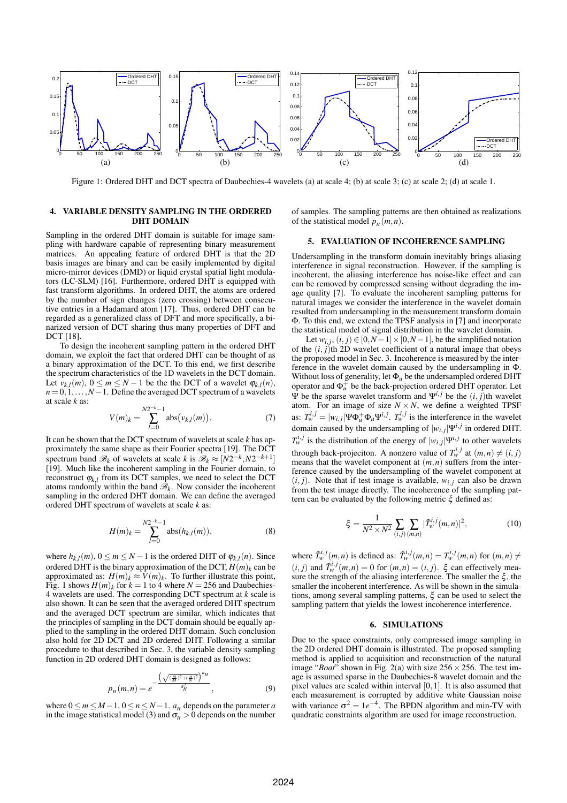

Figure 1: Ordered DHT and DCT spectra of Daubechies-4 wavelets (a) at scale 4; (b) at scale 3; (c) at scale 2; (d) at scale 1.

#### 4. VARIABLE DENSITY SAMPLING IN THE ORDERED DHT DOMAIN

of samples. The sampling patterns are then obtained as realizations of the statistical model  $p_H(m,n)$ .

#### Sampling in the ordered DHT domain is suitable for image sampling with hardware capable of representing binary measurement matrices. An appealing feature of ordered DHT is that the 2D basis images are binary and can be easily implemented by digital micro-mirror devices (DMD) or liquid crystal spatial light modulators (LC-SLM) [16]. Furthermore, ordered DHT is equipped with fast transform algorithms. In ordered DHT, the atoms are ordered by the number of sign changes (zero crossing) between consecutive entries in a Hadamard atom [17]. Thus, ordered DHT can be regarded as a generalized class of DFT and more specifically, a binarized version of DCT sharing thus many properties of DFT and DCT [18].

To design the incoherent sampling pattern in the ordered DHT domain, we exploit the fact that ordered DHT can be thought of as a binary approximation of the DCT. To this end, we first describe the spectrum characteristics of the 1D wavelets in the DCT domain. Let  $v_{k,l}(m)$ ,  $0 \le m \le N-1$  be the the DCT of a wavelet  $\varphi_{k,l}(n)$ ,  $n = 0, 1, \ldots, N-1$ . Define the averaged DCT spectrum of a wavelets at scale *k* as:

$$
V(m)_k = \sum_{l=0}^{N2^{-k}-1} \text{abs}\big(v_{k,l}(m)\big). \tag{7}
$$

It can be shown that the DCT spectrum of wavelets at scale *k* has approximately the same shape as their Fourier spectra [19]. The DCT spectrum band  $\mathscr{B}_k$  of wavelets at scale *k* is  $\mathscr{B}_k \approx [N2^{-k}, N2^{-k+1}]$ [19]. Much like the incoherent sampling in the Fourier domain, to reconstruct  $\varphi_{k,l}$  from its DCT samples, we need to select the DCT atoms randomly within the band  $\mathcal{B}_k$ . Now consider the incoherent sampling in the ordered DHT domain. We can define the averaged ordered DHT spectrum of wavelets at scale *k* as:

$$
H(m)_k = \sum_{l=0}^{N2^{-k}-1} \text{abs}(h_{k,l}(m)),\tag{8}
$$

where  $h_{k,l}(m)$ ,  $0 \le m \le N - 1$  is the ordered DHT of  $\varphi_{k,l}(n)$ . Since ordered DHT is the binary approximation of the DCT,  $H(m)_k$  can be approximated as:  $H(m)_k \approx V(m)_k$ . To further illustrate this point, Fig. 1 shows  $H(m)_k$  for  $k = 1$  to 4 where  $N = 256$  and Daubechies-4 wavelets are used. The corresponding DCT spectrum at *k* scale is also shown. It can be seen that the averaged ordered DHT spectrum and the averaged DCT spectrum are similar, which indicates that the principles of sampling in the DCT domain should be equally applied to the sampling in the ordered DHT domain. Such conclusion also hold for 2D DCT and 2D ordered DHT. Following a similar procedure to that described in Sec. 3, the variable density sampling function in 2D ordered DHT domain is designed as follows:

$$
p_{H}(m,n) = e^{-\frac{\left(\sqrt{\left(\frac{m}{M}\right)^{2} + \left(\frac{n}{N}\right)^{2}}\right)^{a_{H}}}{\sigma_{H}^{2}}},
$$
\n(9)

where  $0 \le m \le M-1$ ,  $0 \le n \le N-1$ .  $a_H$  depends on the parameter *a* in the image statistical model (3) and  $\sigma_{\text{H}}^n > 0$  depends on the number

### 5. EVALUATION OF INCOHERENCE SAMPLING

Undersampling in the transform domain inevitably brings aliasing interference in signal reconstruction. However, if the sampling is incoherent, the aliasing interference has noise-like effect and can can be removed by compressed sensing without degrading the image quality [7]. To evaluate the incoherent sampling patterns for natural images we consider the interference in the wavelet domain resulted from undersampling in the measurement transform domain Φ. To this end, we extend the TPSF analysis in [7] and incorporate the statistical model of signal distribution in the wavelet domain.

Let  $w_{i,j}$ ,  $(i, j) \in [0, N-1] \times [0, N-1]$ , be the simplified notation of the  $(i, j)$ th 2D wavelet coefficient of a natural image that obeys the proposed model in Sec. 3. Incoherence is measured by the interference in the wavelet domain caused by the undersampling in Φ. Without loss of generality, let  $\Phi_u$  be the undersampled ordered DHT operator and  $\Phi_{u}^{+}$  be the back-projection ordered DHT operator. Let Ψ be the sparse wavelet transform and  $Ψ^{i,j}$  be the  $(i, j)$ th wavelet atom. For an image of size  $N \times N$ , we define a weighted TPSF as:  $T_w^{i,j} = |w_{i,j}| \Psi \Phi_u^+ \Phi_u \Psi^{i,j}$ .  $T_w^{i,j}$  is the interference in the wavelet domain caused by the undersampling of  $|w_{i,j}| \Psi^{i,j}$  in ordered DHT.  $T_w^{i,j}$  is the distribution of the energy of  $|w_{i,j}| \Psi^{i,j}$  to other wavelets through back-projeciton. A nonzero value of  $T_w^{i,j}$  at  $(m,n) \neq (i, j)$ means that the wavelet component at (*m*,*n*) suffers from the interference caused by the undersampling of the wavelet component at  $(i, j)$ . Note that if test image is available,  $w_{i,j}$  can also be drawn from the test image directly. The incoherence of the sampling pattern can be evaluated by the following metric  $\xi$  defined as:

$$
\xi = \frac{1}{N^2 \times N^2} \sum_{(i,j)} \sum_{(m,n)} |\tilde{T}_{w}^{i,j}(m,n)|^2, \tag{10}
$$

where  $\tilde{T}_{w}^{i,j}(m,n)$  is defined as:  $\tilde{T}_{w}^{i,j}(m,n) = T_{w}^{i,j}(m,n)$  for  $(m,n) \neq$  $(i, j)$  and  $\tilde{T}^{i, j}_{w}(m, n) = 0$  for  $(m, n) = (i, j)$ .  $\xi$  can effectively measure the strength of the aliasing interference. The smaller the  $\xi$ , the smaller the incoherent interference. As will be shown in the simulations, among several sampling patterns, ξ can be used to select the sampling pattern that yields the lowest incoherence interference.

#### 6. SIMULATIONS

Due to the space constraints, only compressed image sampling in the 2D ordered DHT domain is illustrated. The proposed sampling method is applied to acquisition and reconstruction of the natural image "*Boat*" shown in Fig. 2(a) with size  $256 \times 256$ . The test image is assumed sparse in the Daubechies-8 wavelet domain and the pixel values are scaled within interval [0,1]. It is also assumed that each measurement is corrupted by additive white Gaussian noise with variance  $\sigma^2 = 1e^{-4}$ . The BPDN algorithm and min-TV with quadratic constraints algorithm are used for image reconstruction.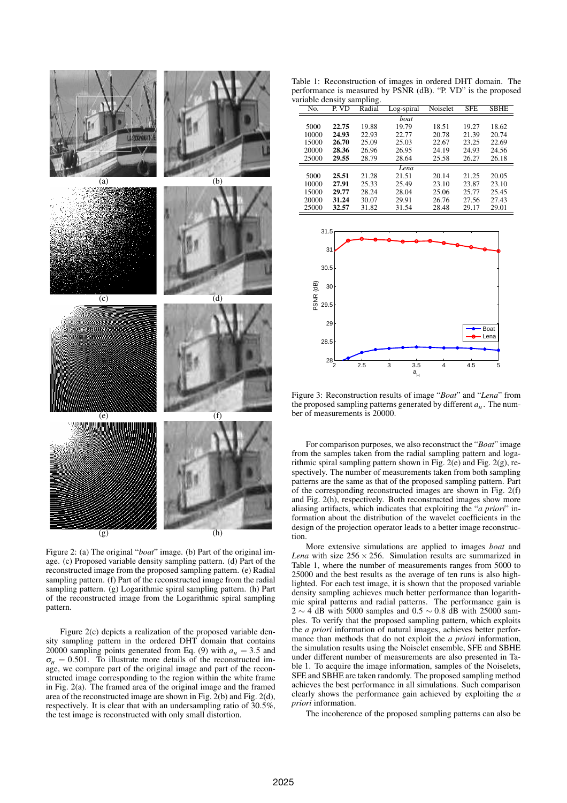

Figure 2: (a) The original "*boat*" image. (b) Part of the original image. (c) Proposed variable density sampling pattern. (d) Part of the reconstructed image from the proposed sampling pattern. (e) Radial sampling pattern. (f) Part of the reconstructed image from the radial sampling pattern. (g) Logarithmic spiral sampling pattern. (h) Part of the reconstructed image from the Logarithmic spiral sampling pattern.

Figure 2(c) depicts a realization of the proposed variable density sampling pattern in the ordered DHT domain that contains 20000 sampling points generated from Eq. (9) with  $a_H = 3.5$  and  $\sigma_{\rm H}$  = 0.501. To illustrate more details of the reconstructed image, we compare part of the original image and part of the reconstructed image corresponding to the region within the white frame in Fig. 2(a). The framed area of the original image and the framed area of the reconstructed image are shown in Fig. 2(b) and Fig. 2(d), respectively. It is clear that with an undersampling ratio of 30.5%, the test image is reconstructed with only small distortion.

Table 1: Reconstruction of images in ordered DHT domain. The performance is measured by PSNR (dB). "P. VD" is the proposed variable density sampling.

|      | No.   | P. VD | Radial | Log-spiral | Noiselet | SFE   | <b>SBHE</b> |
|------|-------|-------|--------|------------|----------|-------|-------------|
|      |       |       |        | boat       |          |       |             |
|      | 5000  | 22.75 | 19.88  | 19.79      | 18.51    | 19.27 | 18.62       |
|      | 10000 | 24.93 | 22.93  | 22.77      | 20.78    | 21.39 | 20.74       |
|      | 15000 | 26.70 | 25.09  | 25.03      | 22.67    | 23.25 | 22.69       |
|      | 20000 | 28.36 | 26.96  | 26.95      | 24.19    | 24.93 | 24.56       |
|      | 25000 | 29.55 | 28.79  | 28.64      | 25.58    | 26.27 | 26.18       |
| Lena |       |       |        |            |          |       |             |
|      | 5000  | 25.51 | 21.28  | 21.51      | 20.14    | 21.25 | 20.05       |
|      | 10000 | 27.91 | 25.33  | 25.49      | 23.10    | 23.87 | 23.10       |
|      | 15000 | 29.77 | 28.24  | 28.04      | 25.06    | 25.77 | 25.45       |
|      | 20000 | 31.24 | 30.07  | 29.91      | 26.76    | 27.56 | 27.43       |
|      | 25000 | 32.57 | 31.82  | 31.54      | 28.48    | 29.17 | 29.01       |



Figure 3: Reconstruction results of image "*Boat*" and "*Lena*" from the proposed sampling patterns generated by different  $a_H$ . The number of measurements is 20000.

For comparison purposes, we also reconstruct the "*Boat*" image from the samples taken from the radial sampling pattern and logarithmic spiral sampling pattern shown in Fig.  $2(e)$  and Fig.  $2(g)$ , respectively. The number of measurements taken from both sampling patterns are the same as that of the proposed sampling pattern. Part of the corresponding reconstructed images are shown in Fig. 2(f) and Fig. 2(h), respectively. Both reconstructed images show more aliasing artifacts, which indicates that exploiting the "*a priori*" information about the distribution of the wavelet coefficients in the design of the projection operator leads to a better image reconstruction.

More extensive simulations are applied to images *boat* and *Lena* with size  $256 \times 256$ . Simulation results are summarized in Table 1, where the number of measurements ranges from 5000 to 25000 and the best results as the average of ten runs is also highlighted. For each test image, it is shown that the proposed variable density sampling achieves much better performance than logarithmic spiral patterns and radial patterns. The performance gain is  $2 \sim 4$  dB with 5000 samples and 0.5  $\sim 0.8$  dB with 25000 samples. To verify that the proposed sampling pattern, which exploits the *a priori* information of natural images, achieves better performance than methods that do not exploit the *a priori* information, the simulation results using the Noiselet ensemble, SFE and SBHE under different number of measurements are also presented in Table 1. To acquire the image information, samples of the Noiselets, SFE and SBHE are taken randomly. The proposed sampling method achieves the best performance in all simulations. Such comparison clearly shows the performance gain achieved by exploiting the *a priori* information.

The incoherence of the proposed sampling patterns can also be